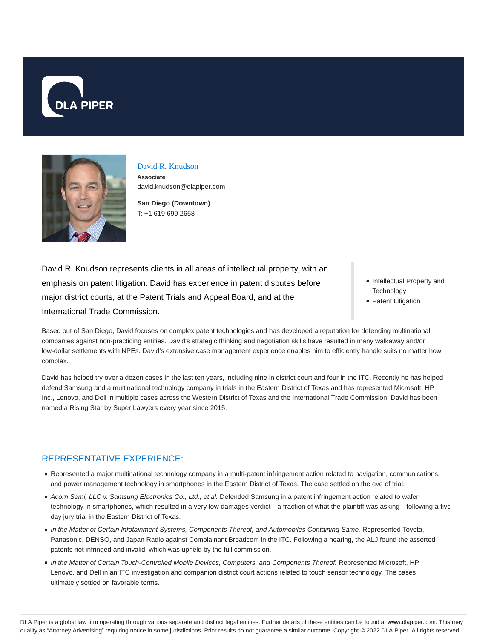



### David R. Knudson

**Associate** david.knudson@dlapiper.com

**San Diego (Downtown)** T: +1 619 699 2658

David R. Knudson represents clients in all areas of intellectual property, with an emphasis on patent litigation. David has experience in patent disputes before major district courts, at the Patent Trials and Appeal Board, and at the International Trade Commission.

- Intellectual Property and **Technology**
- Patent Litigation

Based out of San Diego, David focuses on complex patent technologies and has developed a reputation for defending multinational companies against non-practicing entities. David's strategic thinking and negotiation skills have resulted in many walkaway and/or low-dollar settlements with NPEs. David's extensive case management experience enables him to efficiently handle suits no matter how complex.

David has helped try over a dozen cases in the last ten years, including nine in district court and four in the ITC. Recently he has helped defend Samsung and a multinational technology company in trials in the Eastern District of Texas and has represented Microsoft, HP Inc., Lenovo, and Dell in multiple cases across the Western District of Texas and the International Trade Commission. David has been named a Rising Star by Super Lawyers every year since 2015.

## REPRESENTATIVE EXPERIENCE:

- Represented a major multinational technology company in a multi-patent infringement action related to navigation, communications, and power management technology in smartphones in the Eastern District of Texas. The case settled on the eve of trial.
- Acorn Semi, LLC v. Samsung Electronics Co., Ltd., et al. Defended Samsung in a patent infringement action related to wafer technology in smartphones, which resulted in a very low damages verdict—a fraction of what the plaintiff was asking—following a five day jury trial in the Eastern District of Texas.
- In the Matter of Certain Infotainment Systems, Components Thereof, and Automobiles Containing Same. Represented Toyota, Panasonic, DENSO, and Japan Radio against Complainant Broadcom in the ITC. Following a hearing, the ALJ found the asserted patents not infringed and invalid, which was upheld by the full commission.
- In the Matter of Certain Touch-Controlled Mobile Devices, Computers, and Components Thereof. Represented Microsoft, HP, Lenovo, and Dell in an ITC investigation and companion district court actions related to touch sensor technology. The cases ultimately settled on favorable terms.

DLA Piper is a global law firm operating through various separate and distinct legal entities. Further details of these entities can be found at www.dlapiper.com. This may qualify as "Attorney Advertising" requiring notice in some jurisdictions. Prior results do not guarantee a similar outcome. Copyright © 2022 DLA Piper. All rights reserved.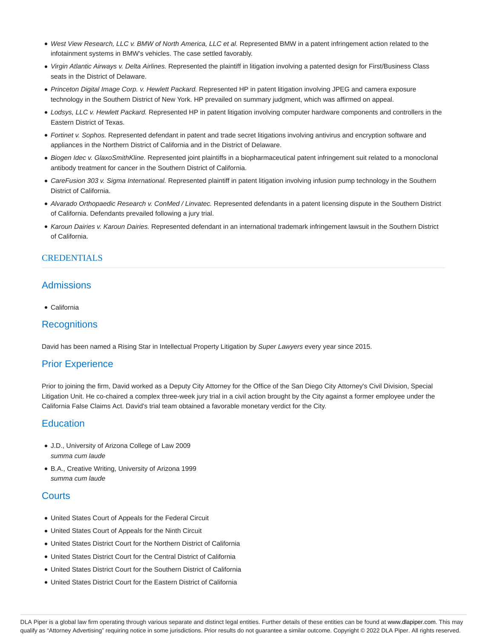- West View Research, LLC v. BMW of North America, LLC et al. Represented BMW in a patent infringement action related to the infotainment systems in BMW's vehicles. The case settled favorably.
- Virgin Atlantic Airways v. Delta Airlines. Represented the plaintiff in litigation involving a patented design for First/Business Class seats in the District of Delaware.
- Princeton Digital Image Corp. v. Hewlett Packard. Represented HP in patent litigation involving JPEG and camera exposure technology in the Southern District of New York. HP prevailed on summary judgment, which was affirmed on appeal.
- Lodsys, LLC v. Hewlett Packard. Represented HP in patent litigation involving computer hardware components and controllers in the Eastern District of Texas.
- Fortinet v. Sophos. Represented defendant in patent and trade secret litigations involving antivirus and encryption software and appliances in the Northern District of California and in the District of Delaware.
- Biogen Idec v. GlaxoSmithKline. Represented joint plaintiffs in a biopharmaceutical patent infringement suit related to a monoclonal antibody treatment for cancer in the Southern District of California.
- CareFusion 303 v. Sigma International. Represented plaintiff in patent litigation involving infusion pump technology in the Southern District of California.
- Alvarado Orthopaedic Research v. ConMed / Linvatec. Represented defendants in a patent licensing dispute in the Southern District of California. Defendants prevailed following a jury trial.
- Karoun Dairies v. Karoun Dairies. Represented defendant in an international trademark infringement lawsuit in the Southern District of California.

### **CREDENTIALS**

### Admissions

California

### **Recognitions**

David has been named a Rising Star in Intellectual Property Litigation by Super Lawyers every year since 2015.

## Prior Experience

Prior to joining the firm, David worked as a Deputy City Attorney for the Office of the San Diego City Attorney's Civil Division, Special Litigation Unit. He co-chaired a complex three-week jury trial in a civil action brought by the City against a former employee under the California False Claims Act. David's trial team obtained a favorable monetary verdict for the City.

### **Education**

- J.D., University of Arizona College of Law 2009 summa cum laude
- B.A., Creative Writing, University of Arizona 1999 summa cum laude

### **Courts**

- United States Court of Appeals for the Federal Circuit
- United States Court of Appeals for the Ninth Circuit
- United States District Court for the Northern District of California
- United States District Court for the Central District of California
- United States District Court for the Southern District of California
- United States District Court for the Eastern District of California